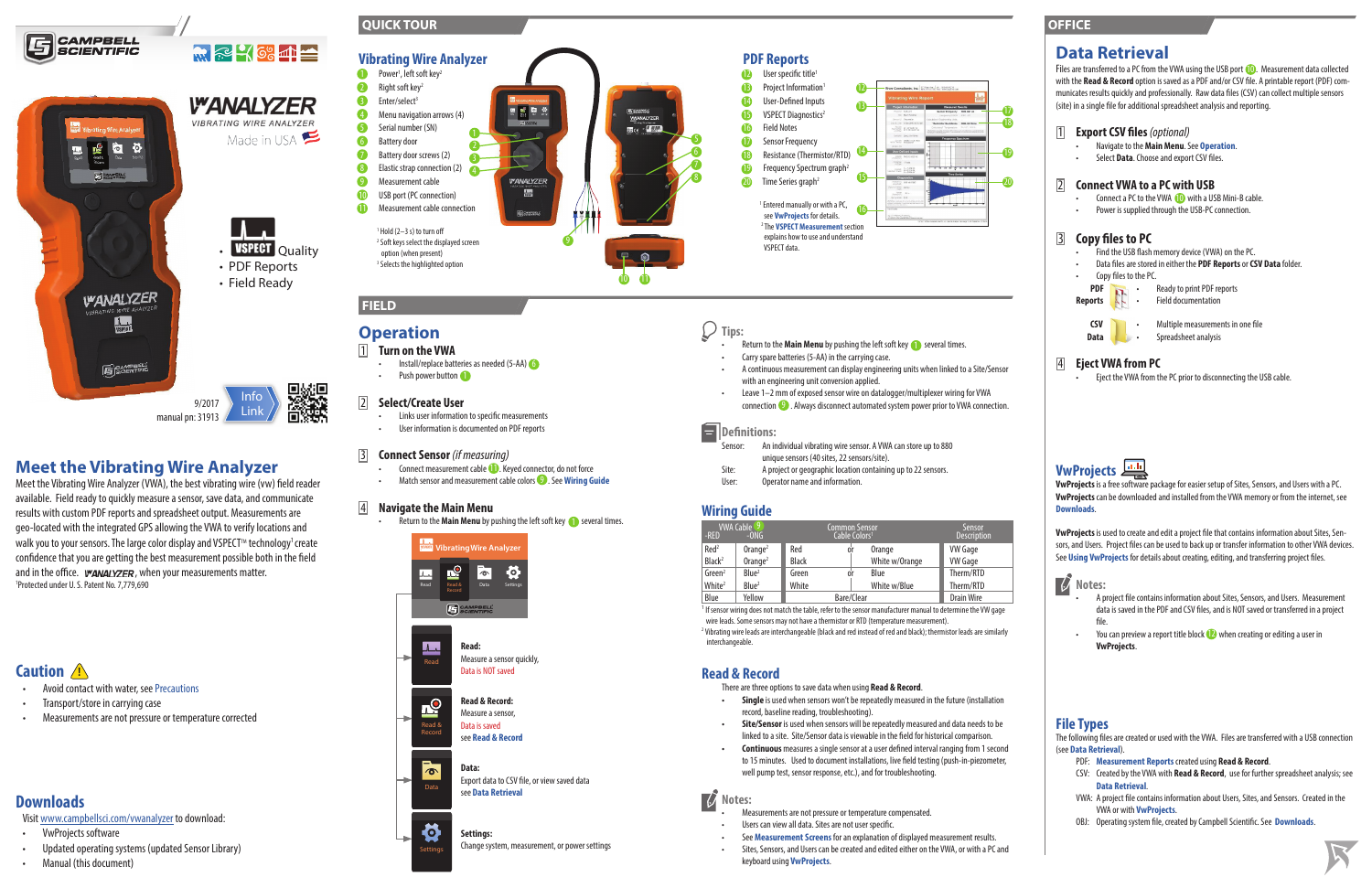#### $\bigcup$ **Tips:**

- Return to the **Main Menu** by pushing the left soft key **the set and the set of the Set A** several times.
- Carry spare batteries (5-AA) in the carrying case.
- A continuous measurement can display engineering units when linked to a Site/Sensor with an engineering unit conversion applied.
- Leave 1–2 mm of exposed sensor wire on datalogger/multiplexer wiring for VWA  $conrection$   $\bullet$  . Always disconnect automated system power prior to VWA connection.

#### Ε **Definitions:**

Sensor: An individual vibrating wire sensor. A VWA can store up to 880 unique sensors (40 sites, 22 sensors/site).

- Site: A project or geographic location containing up to 22 sensors.
- User: Operator name and information.

<sup>1</sup> If sensor wiring does not match the table, refer to the sensor manufacturer manual to determine the VW gage wire leads. Some sensors may not have a thermistor or RTD (temperature measurement). <sup>2</sup> Vibrating wire leads are interchangeable (black and red instead of red and black); thermistor leads are similarly interchangeable.

### **Wiring Guide**

| VWA Cable <sup>(9'</sup><br>-RED<br>$-ONG$ |                        | <b>Common Sensor</b><br>Cable Colors <sup>1</sup> |    |                | Sensor<br><b>Description</b> |
|--------------------------------------------|------------------------|---------------------------------------------------|----|----------------|------------------------------|
| Red <sup>2</sup>                           | $O$ range <sup>2</sup> | Red                                               | 0ľ | Orange         | <b>VW Gage</b>               |
| Black <sup>2</sup>                         | $O$ range <sup>2</sup> | <b>Black</b>                                      |    | White w/Orange | <b>VW Gage</b>               |
| Green <sup>2</sup>                         | Blue <sup>2</sup>      | Green                                             | 0ľ | Blue           | Therm/RTD                    |
| White <sup>2</sup>                         | Blue <sup>2</sup>      | White                                             |    | White w/Blue   | Therm/RTD                    |
| Blue                                       | Yellow                 | Bare/Clear                                        |    |                | Drain Wire                   |

#### $\boldsymbol{\mathcal{U}}$ **Notes:**

- Users can view all data. Sites are not user specific.
- See **Measurement Screens** for an explanation of displayed measurement results.
- Sites, Sensors, and Users can be created and edited either on the VWA, or with a PC and keyboard using **VwProjects**.

### **Read & Record**

There are three options to save data when using **Read & Record**.

Files are transferred to a PC from the VWA using the USB port (D). Measurement data collected with the **Read & Record** option is saved as a PDF and/or CSV file. A printable report (PDF) communicates results quickly and professionally. Raw data files (CSV) can collect multiple sensors (site) in a single file for additional spreadsheet analysis and reporting.

- **• Single** is used when sensors won't be repeatedly measured in the future (installation record, baseline reading, troubleshooting).
- **• Site/Sensor** is used when sensors will be repeatedly measured and data needs to be linked to a site. Site/Sensor data is viewable in the field for historical comparison.
- **• Continuous** measures a single sensor at a user defined interval ranging from 1 second to 15 minutes. Used to document installations, live field testing (push-in-piezometer, well pump test, sensor response, etc.), and for troubleshooting.
- Connect a PC to the VWA **10** with a USB Mini-B cable.
- Power is supplied through the USB-PC connection.

- Find the USB flash memory device (VWA) on the PC.
- Data files are stored in either the **PDF Reports** or **CSV Data** folder.
- Copy files to the PC.
- **PDF •** Ready to print PDF reports



• Measurements are not pressure or temperature compensated.

# **Meet the Vibrating Wire Analyzer**

Meet the Vibrating Wire Analyzer (VWA), the best vibrating wire (vw) field reader available. Field ready to quickly measure a sensor, save data, and communicate results with custom PDF reports and spreadsheet output. Measurements are geo-located with the integrated GPS allowing the VWA to verify locations and walk you to your sensors. The large color display and VSPECT™ technology<sup>1</sup> create confidence that you are getting the best measurement possible both in the field and in the office. *, when your measurements matter.* 1 Protected under U. S. Patent No. 7,779,690

### **Data Retrieval**

 $\overline{\textbf{v}}$ 18

#### 1 **Export CSV files***(optional)*

- Navigate to the **Main Menu**. See **Operation**.
- Select **Data**. Choose and export CSV files.

2 **Connect VWA to a PC with USB**

### 3 **Copy files to PC**

**Reports** • Field documentation



**CSV** • Multiple measurements in one file

Data **b** · Spreadsheet analysis

### 4 **Eject VWA from PC**

• Eject the VWA from the PC prior to disconnecting the USB cable.

# **VwProjects**

**VwProjects** is a free software package for easier setup of Sites, Sensors, and Users with a PC. **VwProjects** can be downloaded and installed from the VWA memory or from the internet, see **Downloads**.

**VwProjects** is used to create and edit a project file that contains information about Sites, Sensors, and Users. Project files can be used to back up or transfer information to other VWA devices. See **Using VwProjects** for details about creating, editing, and transferring project files.

### **Notes:**

- A project file contains information about Sites, Sensors, and Users. Measurement data is saved in the PDF and CSV files, and is NOT saved or transferred in a project file.
- You can preview a report title block  $\mathbb D$  when creating or editing a user in **VwProjects**.

## **File Types**

The following files are created or used with the VWA. Files are transferred with a USB connection (see **Data Retrieval**).

- PDF: **Measurement Reports** created using **Read & Record**.
- CSV: Created by the VWA with **Read & Record**, use for further spreadsheet analysis; see **Data Retrieval**.
- VWA: A project file contains information about Users, Sites, and Sensors. Created in the VWA or with **VwProjects**.
- OBJ: Operating system file, created by Campbell Scientific. See **Downloads**.



**Caution !**

- Avoid contact with water, see Precautions
- Transport/store in carrying case
- Measurements are not pressure or temperature corrected

# **Downloads**

Visit www.campbellsci.com/vwanalyzer to download:

- VwProjects software
- Updated operating systems (updated Sensor Library)
- Manual (this document)

### **FIELD**





### **OFFICE**



19

20

# **Operation**

#### **1 Turn on the VWA**

• Install/replace batteries as needed (5-AA) 6

• Push power button

#### 2 **Select/Create User**

- Links user information to specific measurements
- User information is documented on PDF reports

### 3 **Connect Sensor** *(if measuring)*

- Connect measurement cable **(1)**. Keyed connector, do not force
- Match sensor and measurement cable colors<sup>9</sup>. See Wiring Guide

### 4 **Navigate the Main Menu**

• Return to the **Main Menu** by pushing the left soft key **the set and the set of the Set A** 

#### Change system, measurement, or power settings



Settings